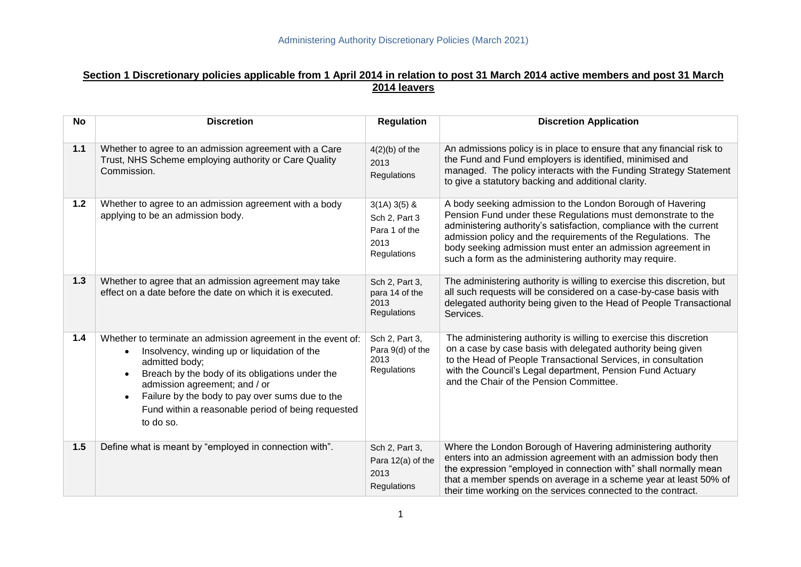# **Section 1 Discretionary policies applicable from 1 April 2014 in relation to post 31 March 2014 active members and post 31 March 2014 leavers**

| <b>No</b> | <b>Discretion</b>                                                                                                                                                                                                                                                                                                                                     | <b>Regulation</b>                                                      | <b>Discretion Application</b>                                                                                                                                                                                                                                                                                                                                                                |
|-----------|-------------------------------------------------------------------------------------------------------------------------------------------------------------------------------------------------------------------------------------------------------------------------------------------------------------------------------------------------------|------------------------------------------------------------------------|----------------------------------------------------------------------------------------------------------------------------------------------------------------------------------------------------------------------------------------------------------------------------------------------------------------------------------------------------------------------------------------------|
| 1.1       | Whether to agree to an admission agreement with a Care<br>Trust, NHS Scheme employing authority or Care Quality<br>Commission.                                                                                                                                                                                                                        | $4(2)(b)$ of the<br>2013<br>Regulations                                | An admissions policy is in place to ensure that any financial risk to<br>the Fund and Fund employers is identified, minimised and<br>managed. The policy interacts with the Funding Strategy Statement<br>to give a statutory backing and additional clarity.                                                                                                                                |
| $1.2$     | Whether to agree to an admission agreement with a body<br>applying to be an admission body.                                                                                                                                                                                                                                                           | $3(1A)3(5)$ &<br>Sch 2, Part 3<br>Para 1 of the<br>2013<br>Regulations | A body seeking admission to the London Borough of Havering<br>Pension Fund under these Regulations must demonstrate to the<br>administering authority's satisfaction, compliance with the current<br>admission policy and the requirements of the Regulations. The<br>body seeking admission must enter an admission agreement in<br>such a form as the administering authority may require. |
| $1.3$     | Whether to agree that an admission agreement may take<br>effect on a date before the date on which it is executed.                                                                                                                                                                                                                                    | Sch 2, Part 3,<br>para 14 of the<br>2013<br>Regulations                | The administering authority is willing to exercise this discretion, but<br>all such requests will be considered on a case-by-case basis with<br>delegated authority being given to the Head of People Transactional<br>Services.                                                                                                                                                             |
| $1.4$     | Whether to terminate an admission agreement in the event of:<br>Insolvency, winding up or liquidation of the<br>admitted body;<br>Breach by the body of its obligations under the<br>admission agreement; and / or<br>Failure by the body to pay over sums due to the<br>$\bullet$<br>Fund within a reasonable period of being requested<br>to do so. | Sch 2, Part 3,<br>Para 9(d) of the<br>2013<br>Regulations              | The administering authority is willing to exercise this discretion<br>on a case by case basis with delegated authority being given<br>to the Head of People Transactional Services, in consultation<br>with the Council's Legal department, Pension Fund Actuary<br>and the Chair of the Pension Committee.                                                                                  |
| $1.5$     | Define what is meant by "employed in connection with".                                                                                                                                                                                                                                                                                                | Sch 2, Part 3,<br>Para 12(a) of the<br>2013<br>Regulations             | Where the London Borough of Havering administering authority<br>enters into an admission agreement with an admission body then<br>the expression "employed in connection with" shall normally mean<br>that a member spends on average in a scheme year at least 50% of<br>their time working on the services connected to the contract.                                                      |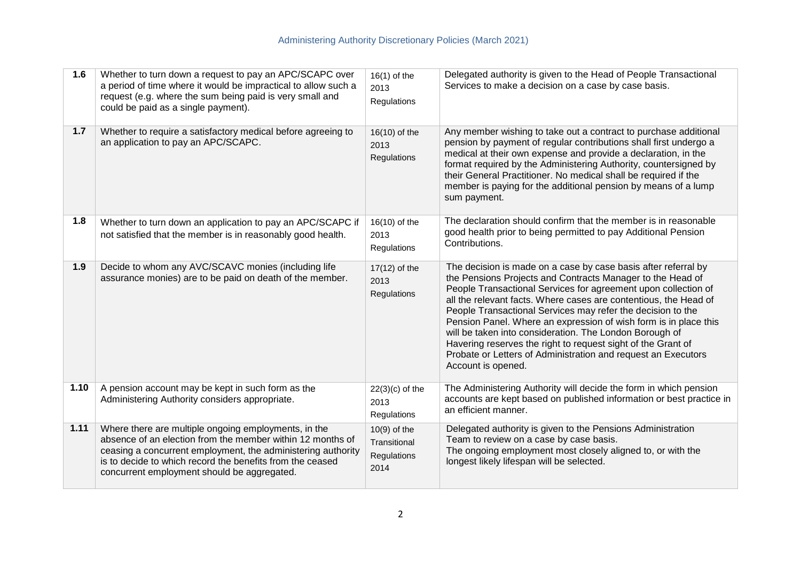| 1.6  | Whether to turn down a request to pay an APC/SCAPC over<br>a period of time where it would be impractical to allow such a<br>request (e.g. where the sum being paid is very small and<br>could be paid as a single payment).                                                                   | $16(1)$ of the<br>2013<br>Regulations                 | Delegated authority is given to the Head of People Transactional<br>Services to make a decision on a case by case basis.                                                                                                                                                                                                                                                                                                                                                                                                                                                                                                |
|------|------------------------------------------------------------------------------------------------------------------------------------------------------------------------------------------------------------------------------------------------------------------------------------------------|-------------------------------------------------------|-------------------------------------------------------------------------------------------------------------------------------------------------------------------------------------------------------------------------------------------------------------------------------------------------------------------------------------------------------------------------------------------------------------------------------------------------------------------------------------------------------------------------------------------------------------------------------------------------------------------------|
| 1.7  | Whether to require a satisfactory medical before agreeing to<br>an application to pay an APC/SCAPC.                                                                                                                                                                                            | 16(10) of the<br>2013<br>Regulations                  | Any member wishing to take out a contract to purchase additional<br>pension by payment of regular contributions shall first undergo a<br>medical at their own expense and provide a declaration, in the<br>format required by the Administering Authority, countersigned by<br>their General Practitioner. No medical shall be required if the<br>member is paying for the additional pension by means of a lump<br>sum payment.                                                                                                                                                                                        |
| 1.8  | Whether to turn down an application to pay an APC/SCAPC if<br>not satisfied that the member is in reasonably good health.                                                                                                                                                                      | $16(10)$ of the<br>2013<br>Regulations                | The declaration should confirm that the member is in reasonable<br>good health prior to being permitted to pay Additional Pension<br>Contributions.                                                                                                                                                                                                                                                                                                                                                                                                                                                                     |
| 1.9  | Decide to whom any AVC/SCAVC monies (including life<br>assurance monies) are to be paid on death of the member.                                                                                                                                                                                | $17(12)$ of the<br>2013<br>Regulations                | The decision is made on a case by case basis after referral by<br>the Pensions Projects and Contracts Manager to the Head of<br>People Transactional Services for agreement upon collection of<br>all the relevant facts. Where cases are contentious, the Head of<br>People Transactional Services may refer the decision to the<br>Pension Panel. Where an expression of wish form is in place this<br>will be taken into consideration. The London Borough of<br>Havering reserves the right to request sight of the Grant of<br>Probate or Letters of Administration and request an Executors<br>Account is opened. |
| 1.10 | A pension account may be kept in such form as the<br>Administering Authority considers appropriate.                                                                                                                                                                                            | $22(3)(c)$ of the<br>2013<br>Regulations              | The Administering Authority will decide the form in which pension<br>accounts are kept based on published information or best practice in<br>an efficient manner.                                                                                                                                                                                                                                                                                                                                                                                                                                                       |
| 1.11 | Where there are multiple ongoing employments, in the<br>absence of an election from the member within 12 months of<br>ceasing a concurrent employment, the administering authority<br>is to decide to which record the benefits from the ceased<br>concurrent employment should be aggregated. | $10(9)$ of the<br>Transitional<br>Regulations<br>2014 | Delegated authority is given to the Pensions Administration<br>Team to review on a case by case basis.<br>The ongoing employment most closely aligned to, or with the<br>longest likely lifespan will be selected.                                                                                                                                                                                                                                                                                                                                                                                                      |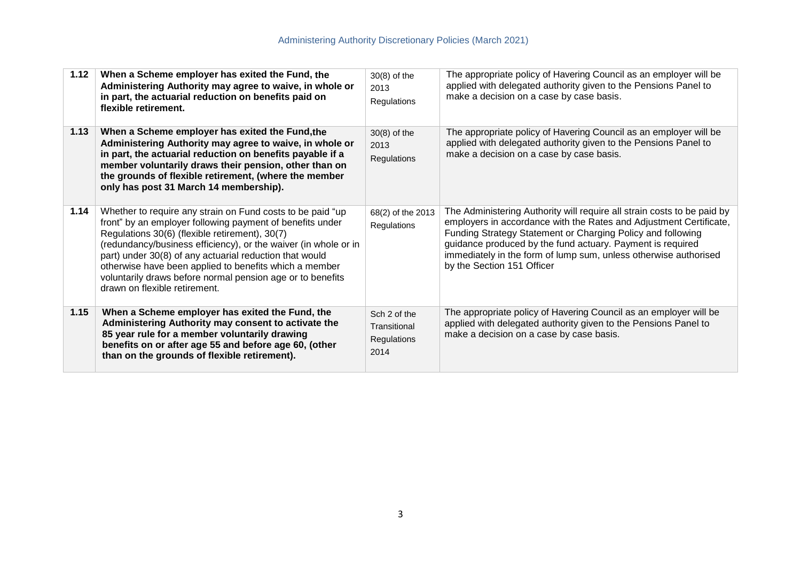| 1.12 | When a Scheme employer has exited the Fund, the<br>Administering Authority may agree to waive, in whole or<br>in part, the actuarial reduction on benefits paid on<br>flexible retirement.                                                                                                                                                                                                                                                                       | 30(8) of the<br>2013<br>Regulations                 | The appropriate policy of Havering Council as an employer will be<br>applied with delegated authority given to the Pensions Panel to<br>make a decision on a case by case basis.                                                                                                                                                                                             |
|------|------------------------------------------------------------------------------------------------------------------------------------------------------------------------------------------------------------------------------------------------------------------------------------------------------------------------------------------------------------------------------------------------------------------------------------------------------------------|-----------------------------------------------------|------------------------------------------------------------------------------------------------------------------------------------------------------------------------------------------------------------------------------------------------------------------------------------------------------------------------------------------------------------------------------|
| 1.13 | When a Scheme employer has exited the Fund, the<br>Administering Authority may agree to waive, in whole or<br>in part, the actuarial reduction on benefits payable if a<br>member voluntarily draws their pension, other than on<br>the grounds of flexible retirement, (where the member<br>only has post 31 March 14 membership).                                                                                                                              | $30(8)$ of the<br>2013<br>Regulations               | The appropriate policy of Havering Council as an employer will be<br>applied with delegated authority given to the Pensions Panel to<br>make a decision on a case by case basis.                                                                                                                                                                                             |
| 1.14 | Whether to require any strain on Fund costs to be paid "up<br>front" by an employer following payment of benefits under<br>Regulations 30(6) (flexible retirement), 30(7)<br>(redundancy/business efficiency), or the waiver (in whole or in<br>part) under 30(8) of any actuarial reduction that would<br>otherwise have been applied to benefits which a member<br>voluntarily draws before normal pension age or to benefits<br>drawn on flexible retirement. | 68(2) of the 2013<br>Regulations                    | The Administering Authority will require all strain costs to be paid by<br>employers in accordance with the Rates and Adjustment Certificate,<br>Funding Strategy Statement or Charging Policy and following<br>guidance produced by the fund actuary. Payment is required<br>immediately in the form of lump sum, unless otherwise authorised<br>by the Section 151 Officer |
| 1.15 | When a Scheme employer has exited the Fund, the<br>Administering Authority may consent to activate the<br>85 year rule for a member voluntarily drawing<br>benefits on or after age 55 and before age 60, (other<br>than on the grounds of flexible retirement).                                                                                                                                                                                                 | Sch 2 of the<br>Transitional<br>Regulations<br>2014 | The appropriate policy of Havering Council as an employer will be<br>applied with delegated authority given to the Pensions Panel to<br>make a decision on a case by case basis.                                                                                                                                                                                             |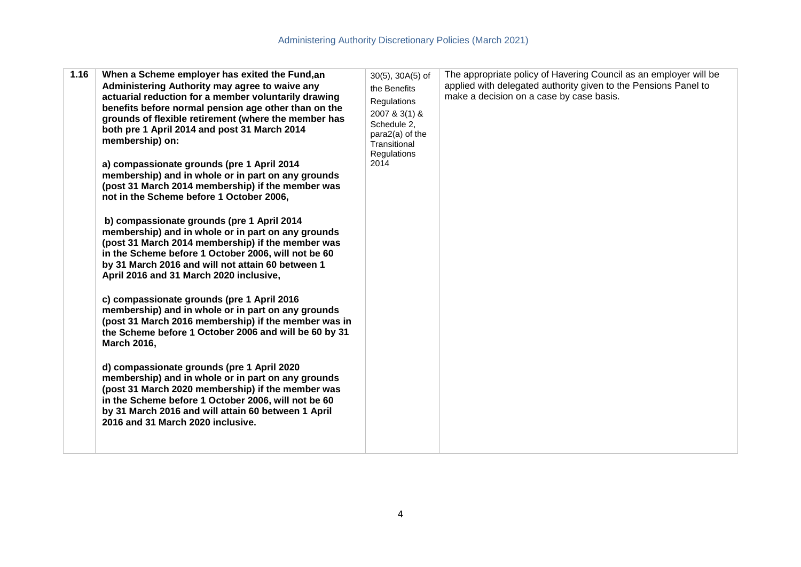|  | 1.16 | When a Scheme employer has exited the Fund, an<br>Administering Authority may agree to waive any<br>actuarial reduction for a member voluntarily drawing<br>benefits before normal pension age other than on the<br>grounds of flexible retirement (where the member has<br>both pre 1 April 2014 and post 31 March 2014<br>membership) on:<br>a) compassionate grounds (pre 1 April 2014<br>membership) and in whole or in part on any grounds<br>(post 31 March 2014 membership) if the member was<br>not in the Scheme before 1 October 2006,<br>b) compassionate grounds (pre 1 April 2014<br>membership) and in whole or in part on any grounds<br>(post 31 March 2014 membership) if the member was<br>in the Scheme before 1 October 2006, will not be 60<br>by 31 March 2016 and will not attain 60 between 1<br>April 2016 and 31 March 2020 inclusive,<br>c) compassionate grounds (pre 1 April 2016<br>membership) and in whole or in part on any grounds<br>(post 31 March 2016 membership) if the member was in<br>the Scheme before 1 October 2006 and will be 60 by 31<br><b>March 2016,</b><br>d) compassionate grounds (pre 1 April 2020<br>membership) and in whole or in part on any grounds<br>(post 31 March 2020 membership) if the member was<br>in the Scheme before 1 October 2006, will not be 60<br>by 31 March 2016 and will attain 60 between 1 April<br>2016 and 31 March 2020 inclusive. | $30(5)$ , $30A(5)$ of<br>the Benefits<br>Regulations<br>2007 & 3(1) &<br>Schedule 2,<br>para2(a) of the<br>Transitional<br><b>Regulations</b><br>2014 | The appropriate policy of Havering Council as an employer will be<br>applied with delegated authority given to the Pensions Panel to<br>make a decision on a case by case basis. |
|--|------|-------------------------------------------------------------------------------------------------------------------------------------------------------------------------------------------------------------------------------------------------------------------------------------------------------------------------------------------------------------------------------------------------------------------------------------------------------------------------------------------------------------------------------------------------------------------------------------------------------------------------------------------------------------------------------------------------------------------------------------------------------------------------------------------------------------------------------------------------------------------------------------------------------------------------------------------------------------------------------------------------------------------------------------------------------------------------------------------------------------------------------------------------------------------------------------------------------------------------------------------------------------------------------------------------------------------------------------------------------------------------------------------------------------------------|-------------------------------------------------------------------------------------------------------------------------------------------------------|----------------------------------------------------------------------------------------------------------------------------------------------------------------------------------|
|--|------|-------------------------------------------------------------------------------------------------------------------------------------------------------------------------------------------------------------------------------------------------------------------------------------------------------------------------------------------------------------------------------------------------------------------------------------------------------------------------------------------------------------------------------------------------------------------------------------------------------------------------------------------------------------------------------------------------------------------------------------------------------------------------------------------------------------------------------------------------------------------------------------------------------------------------------------------------------------------------------------------------------------------------------------------------------------------------------------------------------------------------------------------------------------------------------------------------------------------------------------------------------------------------------------------------------------------------------------------------------------------------------------------------------------------------|-------------------------------------------------------------------------------------------------------------------------------------------------------|----------------------------------------------------------------------------------------------------------------------------------------------------------------------------------|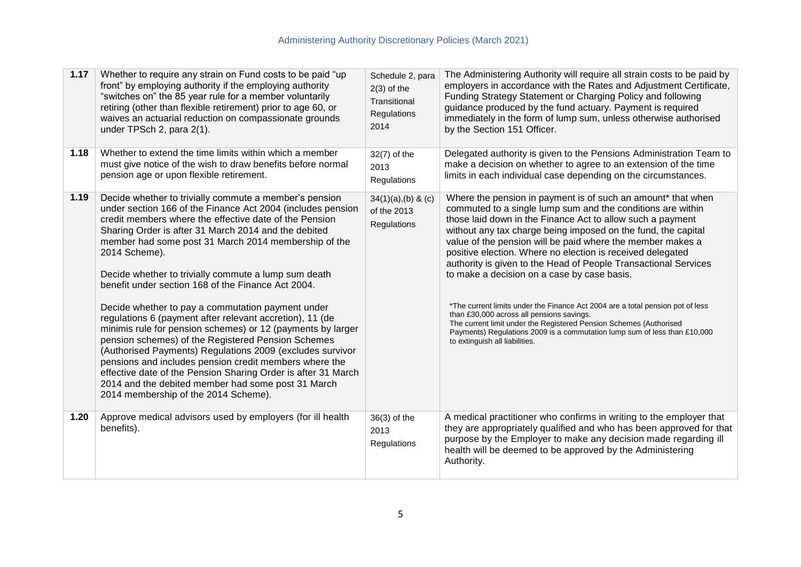| 1.17 | Whether to require any strain on Fund costs to be paid "up<br>front" by employing authority if the employing authority<br>"switches on" the 85 year rule for a member voluntarily<br>retiring (other than flexible retirement) prior to age 60, or<br>waives an actuarial reduction on compassionate grounds<br>under TPSch 2, para 2(1).                                                                                                                                                                                                                                                                                                                                                                                                                                                                                                                                                                                                                  | Schedule 2, para<br>$2(3)$ of the<br>Transitional<br>Regulations<br>2014 | The Administering Authority will require all strain costs to be paid by<br>employers in accordance with the Rates and Adjustment Certificate,<br>Funding Strategy Statement or Charging Policy and following<br>guidance produced by the fund actuary. Payment is required<br>immediately in the form of lump sum, unless otherwise authorised<br>by the Section 151 Officer.                                                                                                                                                                                                                                                                                                                                                                                                                                                |
|------|------------------------------------------------------------------------------------------------------------------------------------------------------------------------------------------------------------------------------------------------------------------------------------------------------------------------------------------------------------------------------------------------------------------------------------------------------------------------------------------------------------------------------------------------------------------------------------------------------------------------------------------------------------------------------------------------------------------------------------------------------------------------------------------------------------------------------------------------------------------------------------------------------------------------------------------------------------|--------------------------------------------------------------------------|------------------------------------------------------------------------------------------------------------------------------------------------------------------------------------------------------------------------------------------------------------------------------------------------------------------------------------------------------------------------------------------------------------------------------------------------------------------------------------------------------------------------------------------------------------------------------------------------------------------------------------------------------------------------------------------------------------------------------------------------------------------------------------------------------------------------------|
| 1.18 | Whether to extend the time limits within which a member<br>must give notice of the wish to draw benefits before normal<br>pension age or upon flexible retirement.                                                                                                                                                                                                                                                                                                                                                                                                                                                                                                                                                                                                                                                                                                                                                                                         | 32(7) of the<br>2013<br>Regulations                                      | Delegated authority is given to the Pensions Administration Team to<br>make a decision on whether to agree to an extension of the time<br>limits in each individual case depending on the circumstances.                                                                                                                                                                                                                                                                                                                                                                                                                                                                                                                                                                                                                     |
| 1.19 | Decide whether to trivially commute a member's pension<br>under section 166 of the Finance Act 2004 (includes pension<br>credit members where the effective date of the Pension<br>Sharing Order is after 31 March 2014 and the debited<br>member had some post 31 March 2014 membership of the<br>2014 Scheme).<br>Decide whether to trivially commute a lump sum death<br>benefit under section 168 of the Finance Act 2004.<br>Decide whether to pay a commutation payment under<br>regulations 6 (payment after relevant accretion), 11 (de<br>minimis rule for pension schemes) or 12 (payments by larger<br>pension schemes) of the Registered Pension Schemes<br>(Authorised Payments) Regulations 2009 (excludes survivor<br>pensions and includes pension credit members where the<br>effective date of the Pension Sharing Order is after 31 March<br>2014 and the debited member had some post 31 March<br>2014 membership of the 2014 Scheme). | $34(1)(a)$ , (b) & (c)<br>of the 2013<br>Regulations                     | Where the pension in payment is of such an amount* that when<br>commuted to a single lump sum and the conditions are within<br>those laid down in the Finance Act to allow such a payment<br>without any tax charge being imposed on the fund, the capital<br>value of the pension will be paid where the member makes a<br>positive election. Where no election is received delegated<br>authority is given to the Head of People Transactional Services<br>to make a decision on a case by case basis.<br>*The current limits under the Finance Act 2004 are a total pension pot of less<br>than £30,000 across all pensions savings.<br>The current limit under the Registered Pension Schemes (Authorised<br>Payments) Regulations 2009 is a commutation lump sum of less than £10,000<br>to extinguish all liabilities. |
| 1.20 | Approve medical advisors used by employers (for ill health<br>benefits).                                                                                                                                                                                                                                                                                                                                                                                                                                                                                                                                                                                                                                                                                                                                                                                                                                                                                   | 36(3) of the<br>2013<br>Regulations                                      | A medical practitioner who confirms in writing to the employer that<br>they are appropriately qualified and who has been approved for that<br>purpose by the Employer to make any decision made regarding ill<br>health will be deemed to be approved by the Administering<br>Authority.                                                                                                                                                                                                                                                                                                                                                                                                                                                                                                                                     |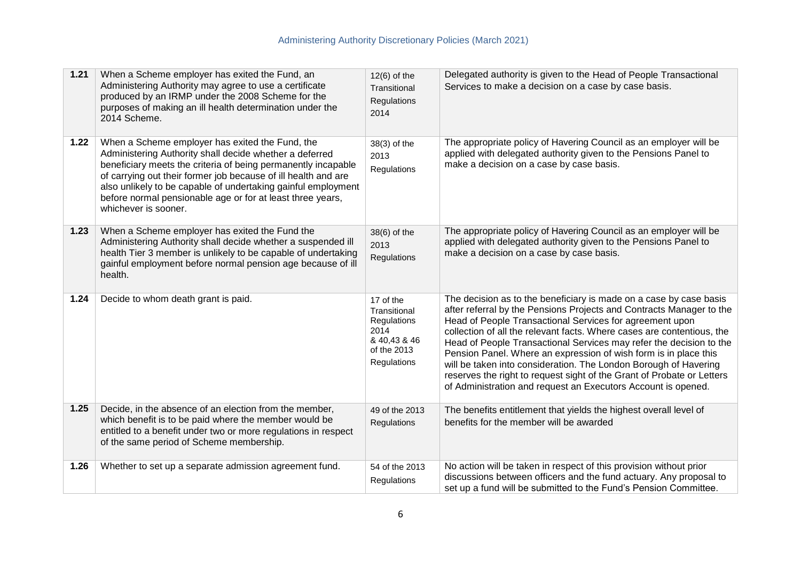| 1.21 | When a Scheme employer has exited the Fund, an<br>Administering Authority may agree to use a certificate<br>produced by an IRMP under the 2008 Scheme for the<br>purposes of making an ill health determination under the<br>2014 Scheme.                                                                                                                                                            | $12(6)$ of the<br>Transitional<br>Regulations<br>2014                                          | Delegated authority is given to the Head of People Transactional<br>Services to make a decision on a case by case basis.                                                                                                                                                                                                                                                                                                                                                                                                                                                                                                                   |
|------|------------------------------------------------------------------------------------------------------------------------------------------------------------------------------------------------------------------------------------------------------------------------------------------------------------------------------------------------------------------------------------------------------|------------------------------------------------------------------------------------------------|--------------------------------------------------------------------------------------------------------------------------------------------------------------------------------------------------------------------------------------------------------------------------------------------------------------------------------------------------------------------------------------------------------------------------------------------------------------------------------------------------------------------------------------------------------------------------------------------------------------------------------------------|
| 1.22 | When a Scheme employer has exited the Fund, the<br>Administering Authority shall decide whether a deferred<br>beneficiary meets the criteria of being permanently incapable<br>of carrying out their former job because of ill health and are<br>also unlikely to be capable of undertaking gainful employment<br>before normal pensionable age or for at least three years,<br>whichever is sooner. | 38(3) of the<br>2013<br>Regulations                                                            | The appropriate policy of Havering Council as an employer will be<br>applied with delegated authority given to the Pensions Panel to<br>make a decision on a case by case basis.                                                                                                                                                                                                                                                                                                                                                                                                                                                           |
| 1.23 | When a Scheme employer has exited the Fund the<br>Administering Authority shall decide whether a suspended ill<br>health Tier 3 member is unlikely to be capable of undertaking<br>gainful employment before normal pension age because of ill<br>health.                                                                                                                                            | 38(6) of the<br>2013<br>Regulations                                                            | The appropriate policy of Havering Council as an employer will be<br>applied with delegated authority given to the Pensions Panel to<br>make a decision on a case by case basis.                                                                                                                                                                                                                                                                                                                                                                                                                                                           |
| 1.24 | Decide to whom death grant is paid.                                                                                                                                                                                                                                                                                                                                                                  | 17 of the<br>Transitional<br>Regulations<br>2014<br>& 40,43 & 46<br>of the 2013<br>Regulations | The decision as to the beneficiary is made on a case by case basis<br>after referral by the Pensions Projects and Contracts Manager to the<br>Head of People Transactional Services for agreement upon<br>collection of all the relevant facts. Where cases are contentious, the<br>Head of People Transactional Services may refer the decision to the<br>Pension Panel. Where an expression of wish form is in place this<br>will be taken into consideration. The London Borough of Havering<br>reserves the right to request sight of the Grant of Probate or Letters<br>of Administration and request an Executors Account is opened. |
| 1.25 | Decide, in the absence of an election from the member,<br>which benefit is to be paid where the member would be<br>entitled to a benefit under two or more regulations in respect<br>of the same period of Scheme membership.                                                                                                                                                                        | 49 of the 2013<br>Regulations                                                                  | The benefits entitlement that yields the highest overall level of<br>benefits for the member will be awarded                                                                                                                                                                                                                                                                                                                                                                                                                                                                                                                               |
| 1.26 | Whether to set up a separate admission agreement fund.                                                                                                                                                                                                                                                                                                                                               | 54 of the 2013<br>Regulations                                                                  | No action will be taken in respect of this provision without prior<br>discussions between officers and the fund actuary. Any proposal to<br>set up a fund will be submitted to the Fund's Pension Committee.                                                                                                                                                                                                                                                                                                                                                                                                                               |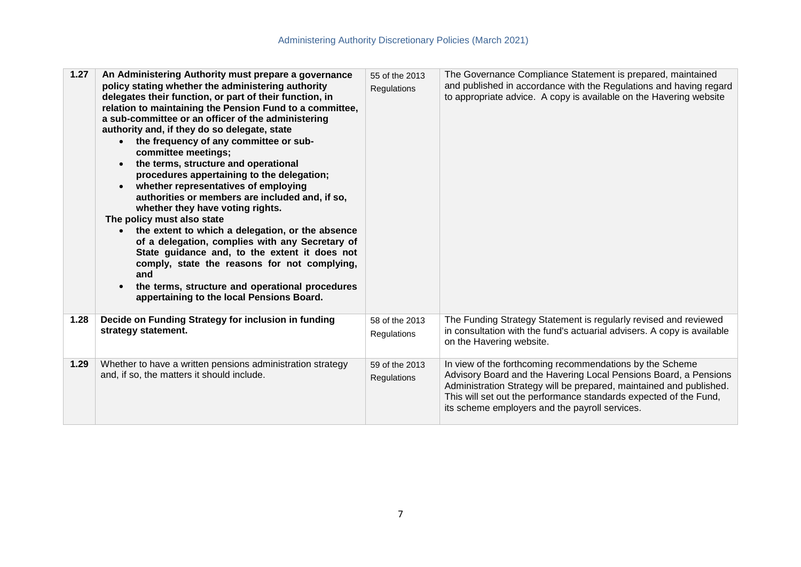| 1.27 | An Administering Authority must prepare a governance<br>policy stating whether the administering authority<br>delegates their function, or part of their function, in<br>relation to maintaining the Pension Fund to a committee,<br>a sub-committee or an officer of the administering<br>authority and, if they do so delegate, state<br>the frequency of any committee or sub-<br>$\bullet$<br>committee meetings;<br>the terms, structure and operational<br>$\bullet$<br>procedures appertaining to the delegation;<br>whether representatives of employing<br>$\bullet$<br>authorities or members are included and, if so,<br>whether they have voting rights.<br>The policy must also state<br>the extent to which a delegation, or the absence<br>$\bullet$<br>of a delegation, complies with any Secretary of<br>State guidance and, to the extent it does not<br>comply, state the reasons for not complying,<br>and<br>the terms, structure and operational procedures<br>appertaining to the local Pensions Board. | 55 of the 2013<br>Regulations | The Governance Compliance Statement is prepared, maintained<br>and published in accordance with the Regulations and having regard<br>to appropriate advice. A copy is available on the Havering website                                                                                                                    |
|------|--------------------------------------------------------------------------------------------------------------------------------------------------------------------------------------------------------------------------------------------------------------------------------------------------------------------------------------------------------------------------------------------------------------------------------------------------------------------------------------------------------------------------------------------------------------------------------------------------------------------------------------------------------------------------------------------------------------------------------------------------------------------------------------------------------------------------------------------------------------------------------------------------------------------------------------------------------------------------------------------------------------------------------|-------------------------------|----------------------------------------------------------------------------------------------------------------------------------------------------------------------------------------------------------------------------------------------------------------------------------------------------------------------------|
| 1.28 | Decide on Funding Strategy for inclusion in funding<br>strategy statement.                                                                                                                                                                                                                                                                                                                                                                                                                                                                                                                                                                                                                                                                                                                                                                                                                                                                                                                                                     | 58 of the 2013<br>Regulations | The Funding Strategy Statement is regularly revised and reviewed<br>in consultation with the fund's actuarial advisers. A copy is available<br>on the Havering website.                                                                                                                                                    |
| 1.29 | Whether to have a written pensions administration strategy<br>and, if so, the matters it should include.                                                                                                                                                                                                                                                                                                                                                                                                                                                                                                                                                                                                                                                                                                                                                                                                                                                                                                                       | 59 of the 2013<br>Regulations | In view of the forthcoming recommendations by the Scheme<br>Advisory Board and the Havering Local Pensions Board, a Pensions<br>Administration Strategy will be prepared, maintained and published.<br>This will set out the performance standards expected of the Fund,<br>its scheme employers and the payroll services. |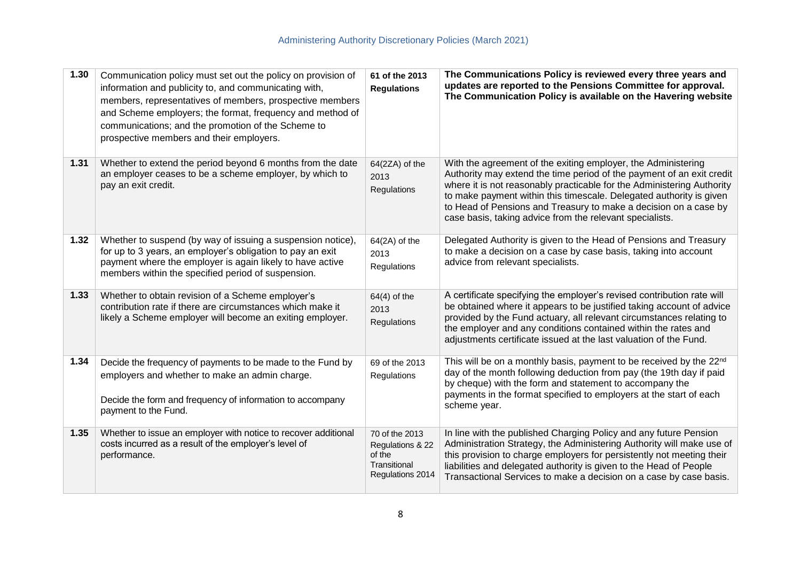| 1.30 | Communication policy must set out the policy on provision of<br>information and publicity to, and communicating with,<br>members, representatives of members, prospective members<br>and Scheme employers; the format, frequency and method of<br>communications; and the promotion of the Scheme to<br>prospective members and their employers. | 61 of the 2013<br><b>Regulations</b>                                             | The Communications Policy is reviewed every three years and<br>updates are reported to the Pensions Committee for approval.<br>The Communication Policy is available on the Havering website                                                                                                                                                                                                                            |
|------|--------------------------------------------------------------------------------------------------------------------------------------------------------------------------------------------------------------------------------------------------------------------------------------------------------------------------------------------------|----------------------------------------------------------------------------------|-------------------------------------------------------------------------------------------------------------------------------------------------------------------------------------------------------------------------------------------------------------------------------------------------------------------------------------------------------------------------------------------------------------------------|
| 1.31 | Whether to extend the period beyond 6 months from the date<br>an employer ceases to be a scheme employer, by which to<br>pay an exit credit.                                                                                                                                                                                                     | 64(2ZA) of the<br>2013<br>Regulations                                            | With the agreement of the exiting employer, the Administering<br>Authority may extend the time period of the payment of an exit credit<br>where it is not reasonably practicable for the Administering Authority<br>to make payment within this timescale. Delegated authority is given<br>to Head of Pensions and Treasury to make a decision on a case by<br>case basis, taking advice from the relevant specialists. |
| 1.32 | Whether to suspend (by way of issuing a suspension notice),<br>for up to 3 years, an employer's obligation to pay an exit<br>payment where the employer is again likely to have active<br>members within the specified period of suspension.                                                                                                     | $64(2A)$ of the<br>2013<br>Regulations                                           | Delegated Authority is given to the Head of Pensions and Treasury<br>to make a decision on a case by case basis, taking into account<br>advice from relevant specialists.                                                                                                                                                                                                                                               |
| 1.33 | Whether to obtain revision of a Scheme employer's<br>contribution rate if there are circumstances which make it<br>likely a Scheme employer will become an exiting employer.                                                                                                                                                                     | $64(4)$ of the<br>2013<br>Regulations                                            | A certificate specifying the employer's revised contribution rate will<br>be obtained where it appears to be justified taking account of advice<br>provided by the Fund actuary, all relevant circumstances relating to<br>the employer and any conditions contained within the rates and<br>adjustments certificate issued at the last valuation of the Fund.                                                          |
| 1.34 | Decide the frequency of payments to be made to the Fund by<br>employers and whether to make an admin charge.<br>Decide the form and frequency of information to accompany<br>payment to the Fund.                                                                                                                                                | 69 of the 2013<br>Regulations                                                    | This will be on a monthly basis, payment to be received by the 22 <sup>nd</sup><br>day of the month following deduction from pay (the 19th day if paid<br>by cheque) with the form and statement to accompany the<br>payments in the format specified to employers at the start of each<br>scheme year.                                                                                                                 |
| 1.35 | Whether to issue an employer with notice to recover additional<br>costs incurred as a result of the employer's level of<br>performance.                                                                                                                                                                                                          | 70 of the 2013<br>Regulations & 22<br>of the<br>Transitional<br>Regulations 2014 | In line with the published Charging Policy and any future Pension<br>Administration Strategy, the Administering Authority will make use of<br>this provision to charge employers for persistently not meeting their<br>liabilities and delegated authority is given to the Head of People<br>Transactional Services to make a decision on a case by case basis.                                                         |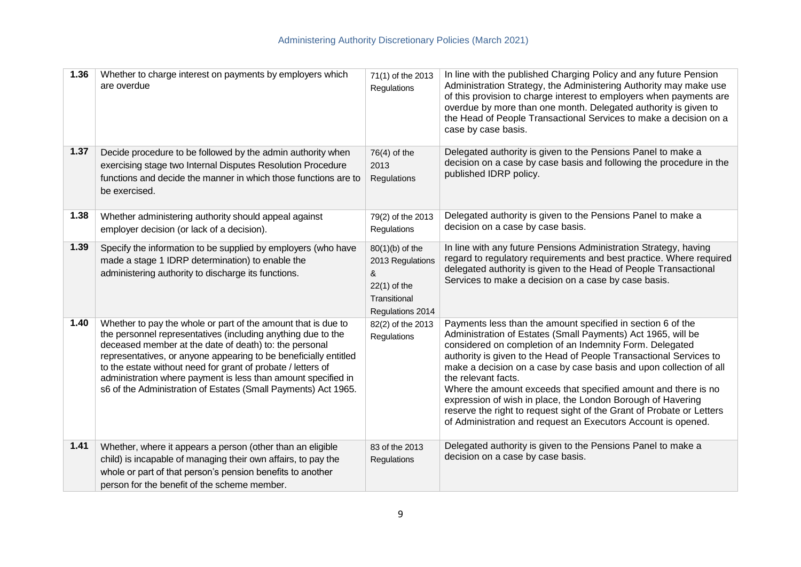| 1.36 | Whether to charge interest on payments by employers which<br>are overdue                                                                                                                                                                                                                                                                                                                                                                                       | 71(1) of the 2013<br>Regulations                                                               | In line with the published Charging Policy and any future Pension<br>Administration Strategy, the Administering Authority may make use<br>of this provision to charge interest to employers when payments are<br>overdue by more than one month. Delegated authority is given to<br>the Head of People Transactional Services to make a decision on a<br>case by case basis.                                                                                                                                                                                                                                                          |
|------|----------------------------------------------------------------------------------------------------------------------------------------------------------------------------------------------------------------------------------------------------------------------------------------------------------------------------------------------------------------------------------------------------------------------------------------------------------------|------------------------------------------------------------------------------------------------|---------------------------------------------------------------------------------------------------------------------------------------------------------------------------------------------------------------------------------------------------------------------------------------------------------------------------------------------------------------------------------------------------------------------------------------------------------------------------------------------------------------------------------------------------------------------------------------------------------------------------------------|
| 1.37 | Decide procedure to be followed by the admin authority when<br>exercising stage two Internal Disputes Resolution Procedure<br>functions and decide the manner in which those functions are to<br>be exercised.                                                                                                                                                                                                                                                 | $76(4)$ of the<br>2013<br>Regulations                                                          | Delegated authority is given to the Pensions Panel to make a<br>decision on a case by case basis and following the procedure in the<br>published IDRP policy.                                                                                                                                                                                                                                                                                                                                                                                                                                                                         |
| 1.38 | Whether administering authority should appeal against<br>employer decision (or lack of a decision).                                                                                                                                                                                                                                                                                                                                                            | 79(2) of the 2013<br>Regulations                                                               | Delegated authority is given to the Pensions Panel to make a<br>decision on a case by case basis.                                                                                                                                                                                                                                                                                                                                                                                                                                                                                                                                     |
| 1.39 | Specify the information to be supplied by employers (who have<br>made a stage 1 IDRP determination) to enable the<br>administering authority to discharge its functions.                                                                                                                                                                                                                                                                                       | 80(1)(b) of the<br>2013 Regulations<br>&<br>$22(1)$ of the<br>Transitional<br>Regulations 2014 | In line with any future Pensions Administration Strategy, having<br>regard to regulatory requirements and best practice. Where required<br>delegated authority is given to the Head of People Transactional<br>Services to make a decision on a case by case basis.                                                                                                                                                                                                                                                                                                                                                                   |
| 1.40 | Whether to pay the whole or part of the amount that is due to<br>the personnel representatives (including anything due to the<br>deceased member at the date of death) to: the personal<br>representatives, or anyone appearing to be beneficially entitled<br>to the estate without need for grant of probate / letters of<br>administration where payment is less than amount specified in<br>s6 of the Administration of Estates (Small Payments) Act 1965. | 82(2) of the 2013<br>Regulations                                                               | Payments less than the amount specified in section 6 of the<br>Administration of Estates (Small Payments) Act 1965, will be<br>considered on completion of an Indemnity Form. Delegated<br>authority is given to the Head of People Transactional Services to<br>make a decision on a case by case basis and upon collection of all<br>the relevant facts.<br>Where the amount exceeds that specified amount and there is no<br>expression of wish in place, the London Borough of Havering<br>reserve the right to request sight of the Grant of Probate or Letters<br>of Administration and request an Executors Account is opened. |
| 1.41 | Whether, where it appears a person (other than an eligible<br>child) is incapable of managing their own affairs, to pay the<br>whole or part of that person's pension benefits to another<br>person for the benefit of the scheme member.                                                                                                                                                                                                                      | 83 of the 2013<br><b>Regulations</b>                                                           | Delegated authority is given to the Pensions Panel to make a<br>decision on a case by case basis.                                                                                                                                                                                                                                                                                                                                                                                                                                                                                                                                     |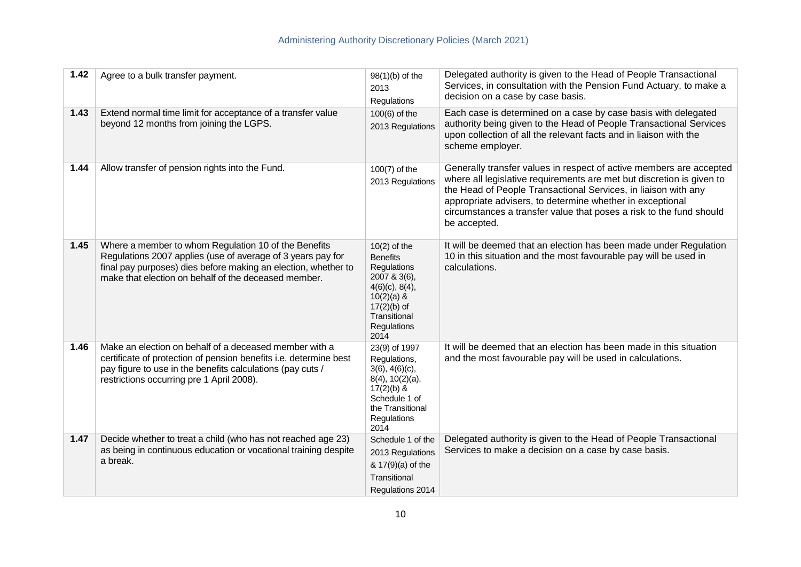| 1.42 | Agree to a bulk transfer payment.                                                                                                                                                                                                             | $98(1)(b)$ of the<br>2013<br>Regulations                                                                                                                      | Delegated authority is given to the Head of People Transactional<br>Services, in consultation with the Pension Fund Actuary, to make a<br>decision on a case by case basis.                                                                                                                                                                                        |
|------|-----------------------------------------------------------------------------------------------------------------------------------------------------------------------------------------------------------------------------------------------|---------------------------------------------------------------------------------------------------------------------------------------------------------------|--------------------------------------------------------------------------------------------------------------------------------------------------------------------------------------------------------------------------------------------------------------------------------------------------------------------------------------------------------------------|
| 1.43 | Extend normal time limit for acceptance of a transfer value<br>beyond 12 months from joining the LGPS.                                                                                                                                        | $100(6)$ of the<br>2013 Regulations                                                                                                                           | Each case is determined on a case by case basis with delegated<br>authority being given to the Head of People Transactional Services<br>upon collection of all the relevant facts and in liaison with the<br>scheme employer.                                                                                                                                      |
| 1.44 | Allow transfer of pension rights into the Fund.                                                                                                                                                                                               | $100(7)$ of the<br>2013 Regulations                                                                                                                           | Generally transfer values in respect of active members are accepted<br>where all legislative requirements are met but discretion is given to<br>the Head of People Transactional Services, in liaison with any<br>appropriate advisers, to determine whether in exceptional<br>circumstances a transfer value that poses a risk to the fund should<br>be accepted. |
| 1.45 | Where a member to whom Regulation 10 of the Benefits<br>Regulations 2007 applies (use of average of 3 years pay for<br>final pay purposes) dies before making an election, whether to<br>make that election on behalf of the deceased member. | $10(2)$ of the<br><b>Benefits</b><br>Regulations<br>2007 & 3(6),<br>$4(6)(c)$ , 8(4),<br>$10(2)(a)$ &<br>$17(2)(b)$ of<br>Transitional<br>Regulations<br>2014 | It will be deemed that an election has been made under Regulation<br>10 in this situation and the most favourable pay will be used in<br>calculations.                                                                                                                                                                                                             |
| 1.46 | Make an election on behalf of a deceased member with a<br>certificate of protection of pension benefits i.e. determine best<br>pay figure to use in the benefits calculations (pay cuts /<br>restrictions occurring pre 1 April 2008).        | 23(9) of 1997<br>Regulations,<br>$3(6)$ , $4(6)(c)$ ,<br>$8(4)$ , $10(2)(a)$ ,<br>$17(2)(b)$ &<br>Schedule 1 of<br>the Transitional<br>Regulations<br>2014    | It will be deemed that an election has been made in this situation<br>and the most favourable pay will be used in calculations.                                                                                                                                                                                                                                    |
| 1.47 | Decide whether to treat a child (who has not reached age 23)<br>as being in continuous education or vocational training despite<br>a break.                                                                                                   | Schedule 1 of the<br>2013 Regulations<br>& 17(9)(a) of the<br>Transitional<br>Regulations 2014                                                                | Delegated authority is given to the Head of People Transactional<br>Services to make a decision on a case by case basis.                                                                                                                                                                                                                                           |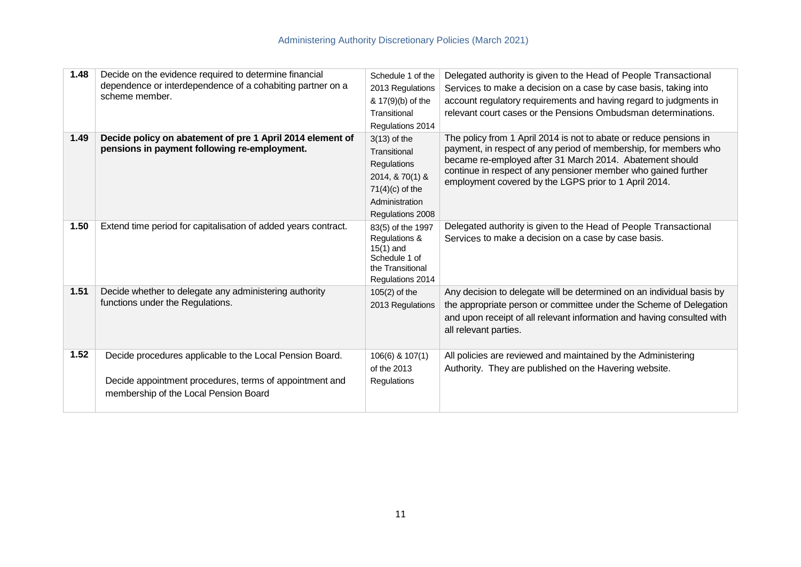| 1.48 | Decide on the evidence required to determine financial<br>dependence or interdependence of a cohabiting partner on a<br>scheme member.                       | Schedule 1 of the<br>2013 Regulations<br>& 17(9)(b) of the<br>Transitional<br>Regulations 2014                              | Delegated authority is given to the Head of People Transactional<br>Services to make a decision on a case by case basis, taking into<br>account regulatory requirements and having regard to judgments in<br>relevant court cases or the Pensions Ombudsman determinations.                                                   |
|------|--------------------------------------------------------------------------------------------------------------------------------------------------------------|-----------------------------------------------------------------------------------------------------------------------------|-------------------------------------------------------------------------------------------------------------------------------------------------------------------------------------------------------------------------------------------------------------------------------------------------------------------------------|
| 1.49 | Decide policy on abatement of pre 1 April 2014 element of<br>pensions in payment following re-employment.                                                    | $3(13)$ of the<br>Transitional<br>Regulations<br>2014, & 70(1) &<br>$71(4)(c)$ of the<br>Administration<br>Regulations 2008 | The policy from 1 April 2014 is not to abate or reduce pensions in<br>payment, in respect of any period of membership, for members who<br>became re-employed after 31 March 2014. Abatement should<br>continue in respect of any pensioner member who gained further<br>employment covered by the LGPS prior to 1 April 2014. |
| 1.50 | Extend time period for capitalisation of added years contract.                                                                                               | 83(5) of the 1997<br>Regulations &<br>$15(1)$ and<br>Schedule 1 of<br>the Transitional<br>Regulations 2014                  | Delegated authority is given to the Head of People Transactional<br>Services to make a decision on a case by case basis.                                                                                                                                                                                                      |
| 1.51 | Decide whether to delegate any administering authority<br>functions under the Regulations.                                                                   | $105(2)$ of the<br>2013 Regulations                                                                                         | Any decision to delegate will be determined on an individual basis by<br>the appropriate person or committee under the Scheme of Delegation<br>and upon receipt of all relevant information and having consulted with<br>all relevant parties.                                                                                |
| 1.52 | Decide procedures applicable to the Local Pension Board.<br>Decide appointment procedures, terms of appointment and<br>membership of the Local Pension Board | 106(6) & 107(1)<br>of the 2013<br>Regulations                                                                               | All policies are reviewed and maintained by the Administering<br>Authority. They are published on the Havering website.                                                                                                                                                                                                       |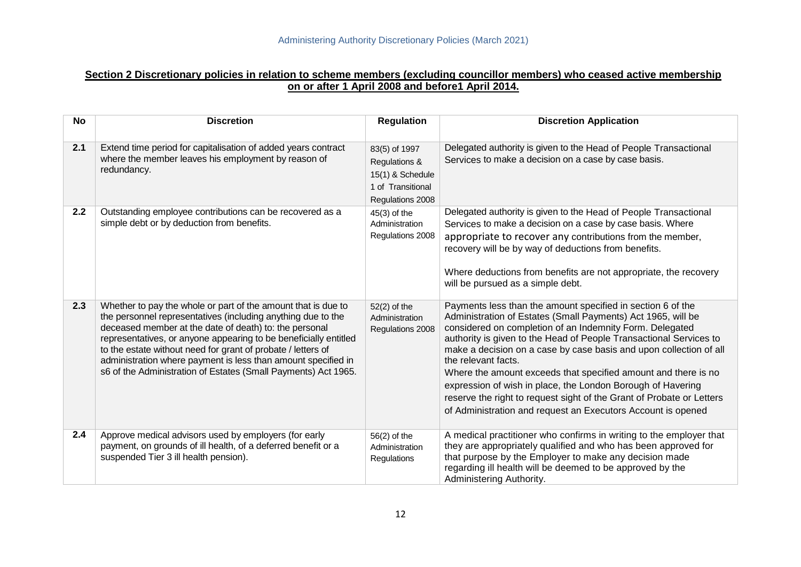#### **Section 2 Discretionary policies in relation to scheme members (excluding councillor members) who ceased active membership on or after 1 April 2008 and before1 April 2014.**

| <b>No</b> | <b>Discretion</b>                                                                                                                                                                                                                                                                                                                                                                                                                                              | <b>Regulation</b>                                                                           | <b>Discretion Application</b>                                                                                                                                                                                                                                                                                                                                                                                                                                                                                                                                                                                                        |
|-----------|----------------------------------------------------------------------------------------------------------------------------------------------------------------------------------------------------------------------------------------------------------------------------------------------------------------------------------------------------------------------------------------------------------------------------------------------------------------|---------------------------------------------------------------------------------------------|--------------------------------------------------------------------------------------------------------------------------------------------------------------------------------------------------------------------------------------------------------------------------------------------------------------------------------------------------------------------------------------------------------------------------------------------------------------------------------------------------------------------------------------------------------------------------------------------------------------------------------------|
| 2.1       | Extend time period for capitalisation of added years contract<br>where the member leaves his employment by reason of<br>redundancy.                                                                                                                                                                                                                                                                                                                            | 83(5) of 1997<br>Regulations &<br>15(1) & Schedule<br>1 of Transitional<br>Regulations 2008 | Delegated authority is given to the Head of People Transactional<br>Services to make a decision on a case by case basis.                                                                                                                                                                                                                                                                                                                                                                                                                                                                                                             |
| 2.2       | Outstanding employee contributions can be recovered as a<br>simple debt or by deduction from benefits.                                                                                                                                                                                                                                                                                                                                                         | $45(3)$ of the<br>Administration<br>Regulations 2008                                        | Delegated authority is given to the Head of People Transactional<br>Services to make a decision on a case by case basis. Where<br>appropriate to recover any contributions from the member,<br>recovery will be by way of deductions from benefits.<br>Where deductions from benefits are not appropriate, the recovery<br>will be pursued as a simple debt.                                                                                                                                                                                                                                                                         |
| 2.3       | Whether to pay the whole or part of the amount that is due to<br>the personnel representatives (including anything due to the<br>deceased member at the date of death) to: the personal<br>representatives, or anyone appearing to be beneficially entitled<br>to the estate without need for grant of probate / letters of<br>administration where payment is less than amount specified in<br>s6 of the Administration of Estates (Small Payments) Act 1965. | $52(2)$ of the<br>Administration<br>Regulations 2008                                        | Payments less than the amount specified in section 6 of the<br>Administration of Estates (Small Payments) Act 1965, will be<br>considered on completion of an Indemnity Form. Delegated<br>authority is given to the Head of People Transactional Services to<br>make a decision on a case by case basis and upon collection of all<br>the relevant facts.<br>Where the amount exceeds that specified amount and there is no<br>expression of wish in place, the London Borough of Havering<br>reserve the right to request sight of the Grant of Probate or Letters<br>of Administration and request an Executors Account is opened |
| 2.4       | Approve medical advisors used by employers (for early<br>payment, on grounds of ill health, of a deferred benefit or a<br>suspended Tier 3 ill health pension).                                                                                                                                                                                                                                                                                                | 56(2) of the<br>Administration<br>Regulations                                               | A medical practitioner who confirms in writing to the employer that<br>they are appropriately qualified and who has been approved for<br>that purpose by the Employer to make any decision made<br>regarding ill health will be deemed to be approved by the<br>Administering Authority.                                                                                                                                                                                                                                                                                                                                             |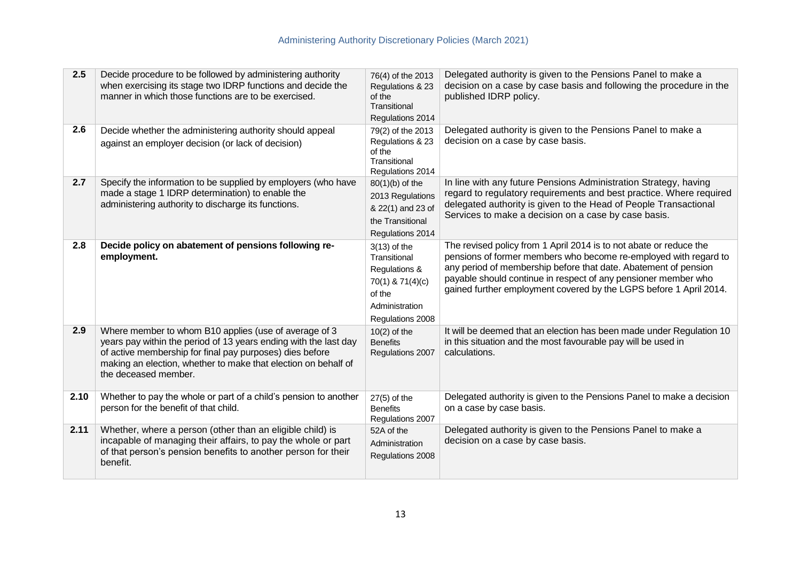| 2.5  | Decide procedure to be followed by administering authority<br>when exercising its stage two IDRP functions and decide the<br>manner in which those functions are to be exercised.                                                                                               | 76(4) of the 2013<br>Regulations & 23<br>of the<br>Transitional<br>Regulations 2014                                 | Delegated authority is given to the Pensions Panel to make a<br>decision on a case by case basis and following the procedure in the<br>published IDRP policy.                                                                                                                                                                                     |
|------|---------------------------------------------------------------------------------------------------------------------------------------------------------------------------------------------------------------------------------------------------------------------------------|---------------------------------------------------------------------------------------------------------------------|---------------------------------------------------------------------------------------------------------------------------------------------------------------------------------------------------------------------------------------------------------------------------------------------------------------------------------------------------|
| 2.6  | Decide whether the administering authority should appeal<br>against an employer decision (or lack of decision)                                                                                                                                                                  | 79(2) of the 2013<br>Regulations & 23<br>of the<br>Transitional<br>Regulations 2014                                 | Delegated authority is given to the Pensions Panel to make a<br>decision on a case by case basis.                                                                                                                                                                                                                                                 |
| 2.7  | Specify the information to be supplied by employers (who have<br>made a stage 1 IDRP determination) to enable the<br>administering authority to discharge its functions.                                                                                                        | 80(1)(b) of the<br>2013 Regulations<br>& 22(1) and 23 of<br>the Transitional<br>Regulations 2014                    | In line with any future Pensions Administration Strategy, having<br>regard to regulatory requirements and best practice. Where required<br>delegated authority is given to the Head of People Transactional<br>Services to make a decision on a case by case basis.                                                                               |
| 2.8  | Decide policy on abatement of pensions following re-<br>employment.                                                                                                                                                                                                             | $3(13)$ of the<br>Transitional<br>Regulations &<br>70(1) & 71(4)(c)<br>of the<br>Administration<br>Regulations 2008 | The revised policy from 1 April 2014 is to not abate or reduce the<br>pensions of former members who become re-employed with regard to<br>any period of membership before that date. Abatement of pension<br>payable should continue in respect of any pensioner member who<br>gained further employment covered by the LGPS before 1 April 2014. |
| 2.9  | Where member to whom B10 applies (use of average of 3<br>years pay within the period of 13 years ending with the last day<br>of active membership for final pay purposes) dies before<br>making an election, whether to make that election on behalf of<br>the deceased member. | $10(2)$ of the<br><b>Benefits</b><br>Regulations 2007                                                               | It will be deemed that an election has been made under Regulation 10<br>in this situation and the most favourable pay will be used in<br>calculations.                                                                                                                                                                                            |
| 2.10 | Whether to pay the whole or part of a child's pension to another<br>person for the benefit of that child.                                                                                                                                                                       | $27(5)$ of the<br><b>Benefits</b><br>Regulations 2007                                                               | Delegated authority is given to the Pensions Panel to make a decision<br>on a case by case basis.                                                                                                                                                                                                                                                 |
| 2.11 | Whether, where a person (other than an eligible child) is<br>incapable of managing their affairs, to pay the whole or part<br>of that person's pension benefits to another person for their<br>benefit.                                                                         | 52A of the<br>Administration<br>Regulations 2008                                                                    | Delegated authority is given to the Pensions Panel to make a<br>decision on a case by case basis.                                                                                                                                                                                                                                                 |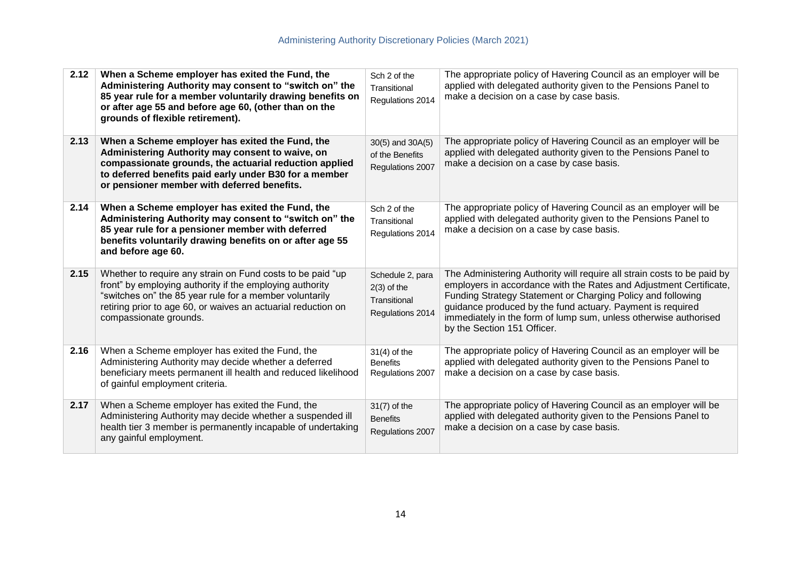| 2.12 | When a Scheme employer has exited the Fund, the<br>Administering Authority may consent to "switch on" the<br>85 year rule for a member voluntarily drawing benefits on<br>or after age 55 and before age 60, (other than on the<br>grounds of flexible retirement).          | Sch 2 of the<br>Transitional<br>Regulations 2014                      | The appropriate policy of Havering Council as an employer will be<br>applied with delegated authority given to the Pensions Panel to<br>make a decision on a case by case basis.                                                                                                                                                                                              |
|------|------------------------------------------------------------------------------------------------------------------------------------------------------------------------------------------------------------------------------------------------------------------------------|-----------------------------------------------------------------------|-------------------------------------------------------------------------------------------------------------------------------------------------------------------------------------------------------------------------------------------------------------------------------------------------------------------------------------------------------------------------------|
| 2.13 | When a Scheme employer has exited the Fund, the<br>Administering Authority may consent to waive, on<br>compassionate grounds, the actuarial reduction applied<br>to deferred benefits paid early under B30 for a member<br>or pensioner member with deferred benefits.       | 30(5) and 30A(5)<br>of the Benefits<br>Regulations 2007               | The appropriate policy of Havering Council as an employer will be<br>applied with delegated authority given to the Pensions Panel to<br>make a decision on a case by case basis.                                                                                                                                                                                              |
| 2.14 | When a Scheme employer has exited the Fund, the<br>Administering Authority may consent to "switch on" the<br>85 year rule for a pensioner member with deferred<br>benefits voluntarily drawing benefits on or after age 55<br>and before age 60.                             | Sch 2 of the<br>Transitional<br>Regulations 2014                      | The appropriate policy of Havering Council as an employer will be<br>applied with delegated authority given to the Pensions Panel to<br>make a decision on a case by case basis.                                                                                                                                                                                              |
| 2.15 | Whether to require any strain on Fund costs to be paid "up<br>front" by employing authority if the employing authority<br>"switches on" the 85 year rule for a member voluntarily<br>retiring prior to age 60, or waives an actuarial reduction on<br>compassionate grounds. | Schedule 2, para<br>$2(3)$ of the<br>Transitional<br>Regulations 2014 | The Administering Authority will require all strain costs to be paid by<br>employers in accordance with the Rates and Adjustment Certificate,<br>Funding Strategy Statement or Charging Policy and following<br>guidance produced by the fund actuary. Payment is required<br>immediately in the form of lump sum, unless otherwise authorised<br>by the Section 151 Officer. |
| 2.16 | When a Scheme employer has exited the Fund, the<br>Administering Authority may decide whether a deferred<br>beneficiary meets permanent ill health and reduced likelihood<br>of gainful employment criteria.                                                                 | $31(4)$ of the<br><b>Benefits</b><br>Regulations 2007                 | The appropriate policy of Havering Council as an employer will be<br>applied with delegated authority given to the Pensions Panel to<br>make a decision on a case by case basis.                                                                                                                                                                                              |
| 2.17 | When a Scheme employer has exited the Fund, the<br>Administering Authority may decide whether a suspended ill<br>health tier 3 member is permanently incapable of undertaking<br>any gainful employment.                                                                     | $31(7)$ of the<br><b>Benefits</b><br>Regulations 2007                 | The appropriate policy of Havering Council as an employer will be<br>applied with delegated authority given to the Pensions Panel to<br>make a decision on a case by case basis.                                                                                                                                                                                              |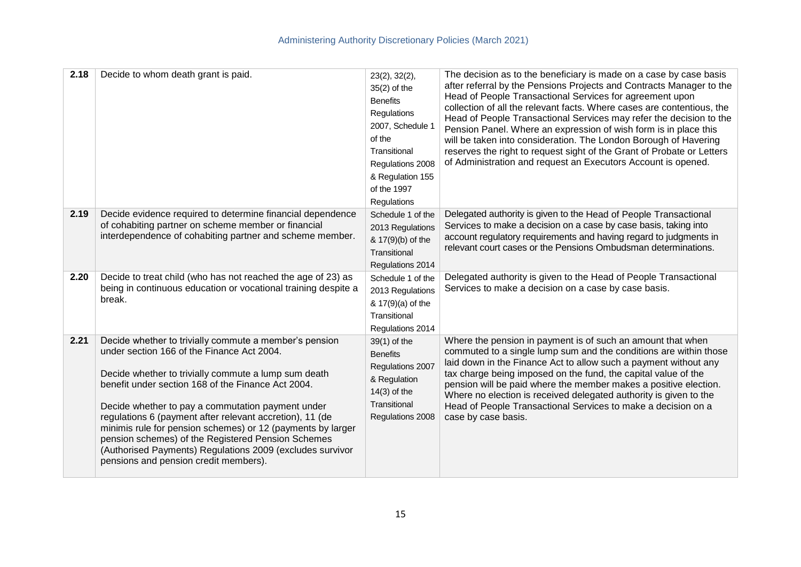| 2.18 | Decide to whom death grant is paid.                                                                                                                                                                                                                                                                                                                                                                                                                                                                                                                            | 23(2), 32(2),<br>$35(2)$ of the<br><b>Benefits</b><br>Regulations<br>2007, Schedule 1<br>of the<br>Transitional<br>Regulations 2008<br>& Regulation 155<br>of the 1997<br>Regulations | The decision as to the beneficiary is made on a case by case basis<br>after referral by the Pensions Projects and Contracts Manager to the<br>Head of People Transactional Services for agreement upon<br>collection of all the relevant facts. Where cases are contentious, the<br>Head of People Transactional Services may refer the decision to the<br>Pension Panel. Where an expression of wish form is in place this<br>will be taken into consideration. The London Borough of Havering<br>reserves the right to request sight of the Grant of Probate or Letters<br>of Administration and request an Executors Account is opened. |
|------|----------------------------------------------------------------------------------------------------------------------------------------------------------------------------------------------------------------------------------------------------------------------------------------------------------------------------------------------------------------------------------------------------------------------------------------------------------------------------------------------------------------------------------------------------------------|---------------------------------------------------------------------------------------------------------------------------------------------------------------------------------------|--------------------------------------------------------------------------------------------------------------------------------------------------------------------------------------------------------------------------------------------------------------------------------------------------------------------------------------------------------------------------------------------------------------------------------------------------------------------------------------------------------------------------------------------------------------------------------------------------------------------------------------------|
| 2.19 | Decide evidence required to determine financial dependence<br>of cohabiting partner on scheme member or financial<br>interdependence of cohabiting partner and scheme member.                                                                                                                                                                                                                                                                                                                                                                                  | Schedule 1 of the<br>2013 Regulations<br>& 17(9)(b) of the<br>Transitional<br>Regulations 2014                                                                                        | Delegated authority is given to the Head of People Transactional<br>Services to make a decision on a case by case basis, taking into<br>account regulatory requirements and having regard to judgments in<br>relevant court cases or the Pensions Ombudsman determinations.                                                                                                                                                                                                                                                                                                                                                                |
| 2.20 | Decide to treat child (who has not reached the age of 23) as<br>being in continuous education or vocational training despite a<br>break.                                                                                                                                                                                                                                                                                                                                                                                                                       | Schedule 1 of the<br>2013 Regulations<br>& 17(9)(a) of the<br>Transitional<br>Regulations 2014                                                                                        | Delegated authority is given to the Head of People Transactional<br>Services to make a decision on a case by case basis.                                                                                                                                                                                                                                                                                                                                                                                                                                                                                                                   |
| 2.21 | Decide whether to trivially commute a member's pension<br>under section 166 of the Finance Act 2004.<br>Decide whether to trivially commute a lump sum death<br>benefit under section 168 of the Finance Act 2004.<br>Decide whether to pay a commutation payment under<br>regulations 6 (payment after relevant accretion), 11 (de<br>minimis rule for pension schemes) or 12 (payments by larger<br>pension schemes) of the Registered Pension Schemes<br>(Authorised Payments) Regulations 2009 (excludes survivor<br>pensions and pension credit members). | 39(1) of the<br><b>Benefits</b><br>Regulations 2007<br>& Regulation<br>$14(3)$ of the<br>Transitional<br>Regulations 2008                                                             | Where the pension in payment is of such an amount that when<br>commuted to a single lump sum and the conditions are within those<br>laid down in the Finance Act to allow such a payment without any<br>tax charge being imposed on the fund, the capital value of the<br>pension will be paid where the member makes a positive election.<br>Where no election is received delegated authority is given to the<br>Head of People Transactional Services to make a decision on a<br>case by case basis.                                                                                                                                    |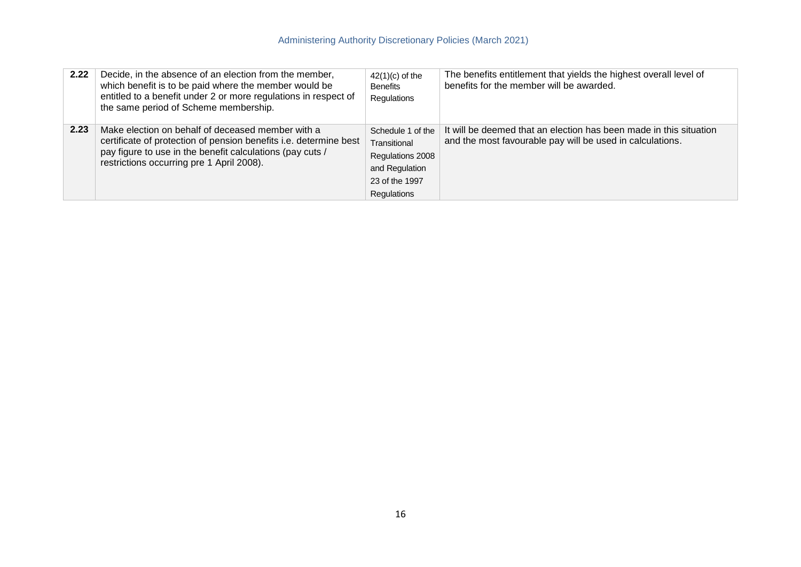| 2.22 | Decide, in the absence of an election from the member,<br>which benefit is to be paid where the member would be<br>entitled to a benefit under 2 or more regulations in respect of<br>the same period of Scheme membership.      | $42(1)(c)$ of the<br><b>Benefits</b><br>Regulations                                                      | The benefits entitlement that yields the highest overall level of<br>benefits for the member will be awarded.                   |
|------|----------------------------------------------------------------------------------------------------------------------------------------------------------------------------------------------------------------------------------|----------------------------------------------------------------------------------------------------------|---------------------------------------------------------------------------------------------------------------------------------|
| 2.23 | Make election on behalf of deceased member with a<br>certificate of protection of pension benefits i.e. determine best<br>pay figure to use in the benefit calculations (pay cuts /<br>restrictions occurring pre 1 April 2008). | Schedule 1 of the<br>Transitional<br>Regulations 2008<br>and Regulation<br>23 of the 1997<br>Regulations | It will be deemed that an election has been made in this situation<br>and the most favourable pay will be used in calculations. |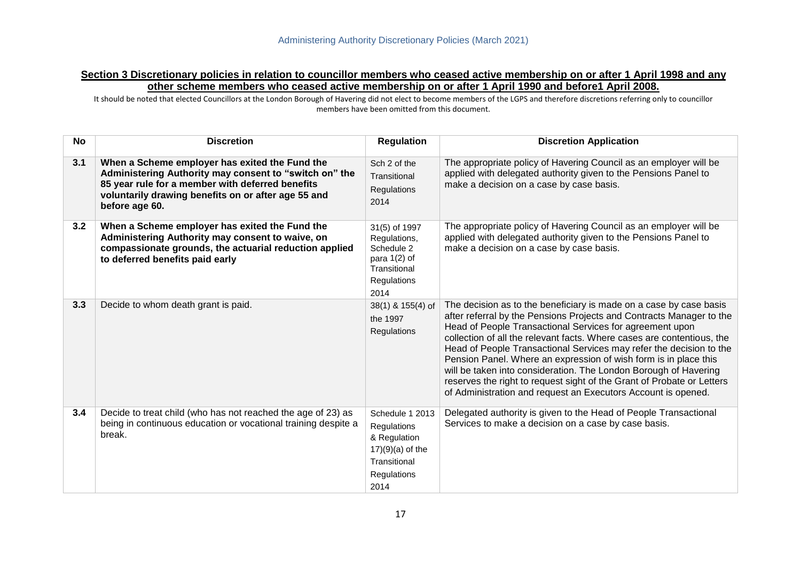### **Section 3 Discretionary policies in relation to councillor members who ceased active membership on or after 1 April 1998 and any other scheme members who ceased active membership on or after 1 April 1990 and before1 April 2008.**

It should be noted that elected Councillors at the London Borough of Havering did not elect to become members of the LGPS and therefore discretions referring only to councillor members have been omitted from this document.

| <b>No</b> | <b>Discretion</b>                                                                                                                                                                                                                     | <b>Regulation</b>                                                                                           | <b>Discretion Application</b>                                                                                                                                                                                                                                                                                                                                                                                                                                                                                                                                                                                                              |
|-----------|---------------------------------------------------------------------------------------------------------------------------------------------------------------------------------------------------------------------------------------|-------------------------------------------------------------------------------------------------------------|--------------------------------------------------------------------------------------------------------------------------------------------------------------------------------------------------------------------------------------------------------------------------------------------------------------------------------------------------------------------------------------------------------------------------------------------------------------------------------------------------------------------------------------------------------------------------------------------------------------------------------------------|
| 3.1       | When a Scheme employer has exited the Fund the<br>Administering Authority may consent to "switch on" the<br>85 year rule for a member with deferred benefits<br>voluntarily drawing benefits on or after age 55 and<br>before age 60. | Sch 2 of the<br>Transitional<br>Regulations<br>2014                                                         | The appropriate policy of Havering Council as an employer will be<br>applied with delegated authority given to the Pensions Panel to<br>make a decision on a case by case basis.                                                                                                                                                                                                                                                                                                                                                                                                                                                           |
| 3.2       | When a Scheme employer has exited the Fund the<br>Administering Authority may consent to waive, on<br>compassionate grounds, the actuarial reduction applied<br>to deferred benefits paid early                                       | 31(5) of 1997<br>Regulations,<br>Schedule 2<br>para $1(2)$ of<br>Transitional<br>Regulations<br>2014        | The appropriate policy of Havering Council as an employer will be<br>applied with delegated authority given to the Pensions Panel to<br>make a decision on a case by case basis.                                                                                                                                                                                                                                                                                                                                                                                                                                                           |
| 3.3       | Decide to whom death grant is paid.                                                                                                                                                                                                   | 38(1) & 155(4) of<br>the 1997<br>Regulations                                                                | The decision as to the beneficiary is made on a case by case basis<br>after referral by the Pensions Projects and Contracts Manager to the<br>Head of People Transactional Services for agreement upon<br>collection of all the relevant facts. Where cases are contentious, the<br>Head of People Transactional Services may refer the decision to the<br>Pension Panel. Where an expression of wish form is in place this<br>will be taken into consideration. The London Borough of Havering<br>reserves the right to request sight of the Grant of Probate or Letters<br>of Administration and request an Executors Account is opened. |
| 3.4       | Decide to treat child (who has not reached the age of 23) as<br>being in continuous education or vocational training despite a<br>break.                                                                                              | Schedule 1 2013<br>Regulations<br>& Regulation<br>$17)(9)(a)$ of the<br>Transitional<br>Regulations<br>2014 | Delegated authority is given to the Head of People Transactional<br>Services to make a decision on a case by case basis.                                                                                                                                                                                                                                                                                                                                                                                                                                                                                                                   |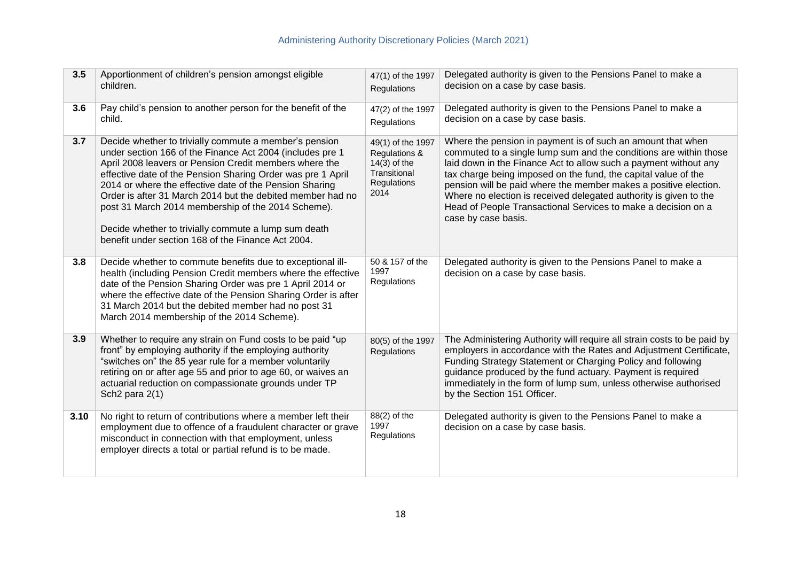| 3.5  | Apportionment of children's pension amongst eligible<br>children.                                                                                                                                                                                                                                                                                                                                                                                                                                                                         | 47(1) of the 1997<br><b>Regulations</b>                                                     | Delegated authority is given to the Pensions Panel to make a<br>decision on a case by case basis.                                                                                                                                                                                                                                                                                                                                                                                                       |
|------|-------------------------------------------------------------------------------------------------------------------------------------------------------------------------------------------------------------------------------------------------------------------------------------------------------------------------------------------------------------------------------------------------------------------------------------------------------------------------------------------------------------------------------------------|---------------------------------------------------------------------------------------------|---------------------------------------------------------------------------------------------------------------------------------------------------------------------------------------------------------------------------------------------------------------------------------------------------------------------------------------------------------------------------------------------------------------------------------------------------------------------------------------------------------|
| 3.6  | Pay child's pension to another person for the benefit of the<br>child.                                                                                                                                                                                                                                                                                                                                                                                                                                                                    | 47(2) of the 1997<br><b>Regulations</b>                                                     | Delegated authority is given to the Pensions Panel to make a<br>decision on a case by case basis.                                                                                                                                                                                                                                                                                                                                                                                                       |
| 3.7  | Decide whether to trivially commute a member's pension<br>under section 166 of the Finance Act 2004 (includes pre 1<br>April 2008 leavers or Pension Credit members where the<br>effective date of the Pension Sharing Order was pre 1 April<br>2014 or where the effective date of the Pension Sharing<br>Order is after 31 March 2014 but the debited member had no<br>post 31 March 2014 membership of the 2014 Scheme).<br>Decide whether to trivially commute a lump sum death<br>benefit under section 168 of the Finance Act 2004. | 49(1) of the 1997<br>Regulations &<br>$14(3)$ of the<br>Transitional<br>Regulations<br>2014 | Where the pension in payment is of such an amount that when<br>commuted to a single lump sum and the conditions are within those<br>laid down in the Finance Act to allow such a payment without any<br>tax charge being imposed on the fund, the capital value of the<br>pension will be paid where the member makes a positive election.<br>Where no election is received delegated authority is given to the<br>Head of People Transactional Services to make a decision on a<br>case by case basis. |
| 3.8  | Decide whether to commute benefits due to exceptional ill-<br>health (including Pension Credit members where the effective<br>date of the Pension Sharing Order was pre 1 April 2014 or<br>where the effective date of the Pension Sharing Order is after<br>31 March 2014 but the debited member had no post 31<br>March 2014 membership of the 2014 Scheme).                                                                                                                                                                            | 50 & 157 of the<br>1997<br>Regulations                                                      | Delegated authority is given to the Pensions Panel to make a<br>decision on a case by case basis.                                                                                                                                                                                                                                                                                                                                                                                                       |
| 3.9  | Whether to require any strain on Fund costs to be paid "up<br>front" by employing authority if the employing authority<br>"switches on" the 85 year rule for a member voluntarily<br>retiring on or after age 55 and prior to age 60, or waives an<br>actuarial reduction on compassionate grounds under TP<br>Sch <sub>2</sub> para 2(1)                                                                                                                                                                                                 | 80(5) of the 1997<br>Regulations                                                            | The Administering Authority will require all strain costs to be paid by<br>employers in accordance with the Rates and Adjustment Certificate,<br>Funding Strategy Statement or Charging Policy and following<br>guidance produced by the fund actuary. Payment is required<br>immediately in the form of lump sum, unless otherwise authorised<br>by the Section 151 Officer.                                                                                                                           |
| 3.10 | No right to return of contributions where a member left their<br>employment due to offence of a fraudulent character or grave<br>misconduct in connection with that employment, unless<br>employer directs a total or partial refund is to be made.                                                                                                                                                                                                                                                                                       | 88(2) of the<br>1997<br>Regulations                                                         | Delegated authority is given to the Pensions Panel to make a<br>decision on a case by case basis.                                                                                                                                                                                                                                                                                                                                                                                                       |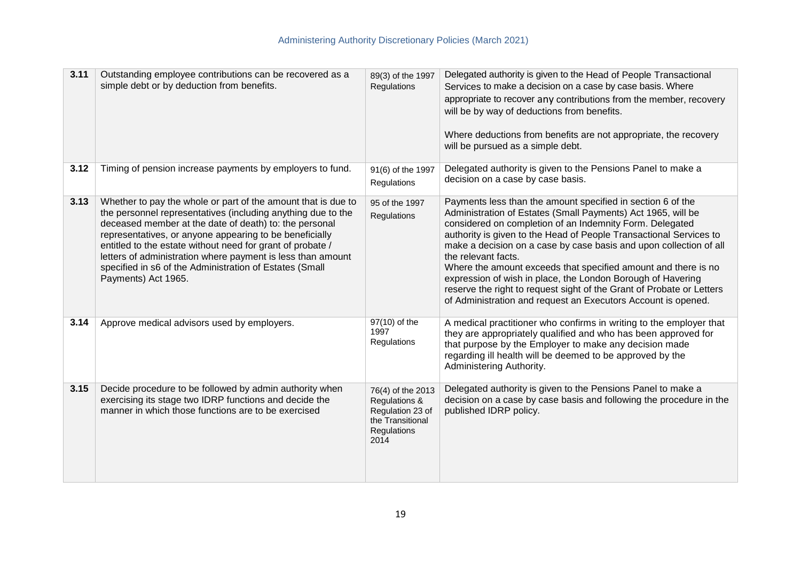| 3.11 | Outstanding employee contributions can be recovered as a<br>simple debt or by deduction from benefits.                                                                                                                                                                                                                                                                                                                                                            | 89(3) of the 1997<br><b>Regulations</b>                                                           | Delegated authority is given to the Head of People Transactional<br>Services to make a decision on a case by case basis. Where<br>appropriate to recover any contributions from the member, recovery<br>will be by way of deductions from benefits.<br>Where deductions from benefits are not appropriate, the recovery<br>will be pursued as a simple debt.                                                                                                                                                                                                                                                                          |
|------|-------------------------------------------------------------------------------------------------------------------------------------------------------------------------------------------------------------------------------------------------------------------------------------------------------------------------------------------------------------------------------------------------------------------------------------------------------------------|---------------------------------------------------------------------------------------------------|---------------------------------------------------------------------------------------------------------------------------------------------------------------------------------------------------------------------------------------------------------------------------------------------------------------------------------------------------------------------------------------------------------------------------------------------------------------------------------------------------------------------------------------------------------------------------------------------------------------------------------------|
| 3.12 | Timing of pension increase payments by employers to fund.                                                                                                                                                                                                                                                                                                                                                                                                         | 91(6) of the 1997<br>Regulations                                                                  | Delegated authority is given to the Pensions Panel to make a<br>decision on a case by case basis.                                                                                                                                                                                                                                                                                                                                                                                                                                                                                                                                     |
| 3.13 | Whether to pay the whole or part of the amount that is due to<br>the personnel representatives (including anything due to the<br>deceased member at the date of death) to: the personal<br>representatives, or anyone appearing to be beneficially<br>entitled to the estate without need for grant of probate /<br>letters of administration where payment is less than amount<br>specified in s6 of the Administration of Estates (Small<br>Payments) Act 1965. | 95 of the 1997<br>Regulations                                                                     | Payments less than the amount specified in section 6 of the<br>Administration of Estates (Small Payments) Act 1965, will be<br>considered on completion of an Indemnity Form. Delegated<br>authority is given to the Head of People Transactional Services to<br>make a decision on a case by case basis and upon collection of all<br>the relevant facts.<br>Where the amount exceeds that specified amount and there is no<br>expression of wish in place, the London Borough of Havering<br>reserve the right to request sight of the Grant of Probate or Letters<br>of Administration and request an Executors Account is opened. |
| 3.14 | Approve medical advisors used by employers.                                                                                                                                                                                                                                                                                                                                                                                                                       | 97(10) of the<br>1997<br>Regulations                                                              | A medical practitioner who confirms in writing to the employer that<br>they are appropriately qualified and who has been approved for<br>that purpose by the Employer to make any decision made<br>regarding ill health will be deemed to be approved by the<br>Administering Authority.                                                                                                                                                                                                                                                                                                                                              |
| 3.15 | Decide procedure to be followed by admin authority when<br>exercising its stage two IDRP functions and decide the<br>manner in which those functions are to be exercised                                                                                                                                                                                                                                                                                          | 76(4) of the 2013<br>Regulations &<br>Regulation 23 of<br>the Transitional<br>Regulations<br>2014 | Delegated authority is given to the Pensions Panel to make a<br>decision on a case by case basis and following the procedure in the<br>published IDRP policy.                                                                                                                                                                                                                                                                                                                                                                                                                                                                         |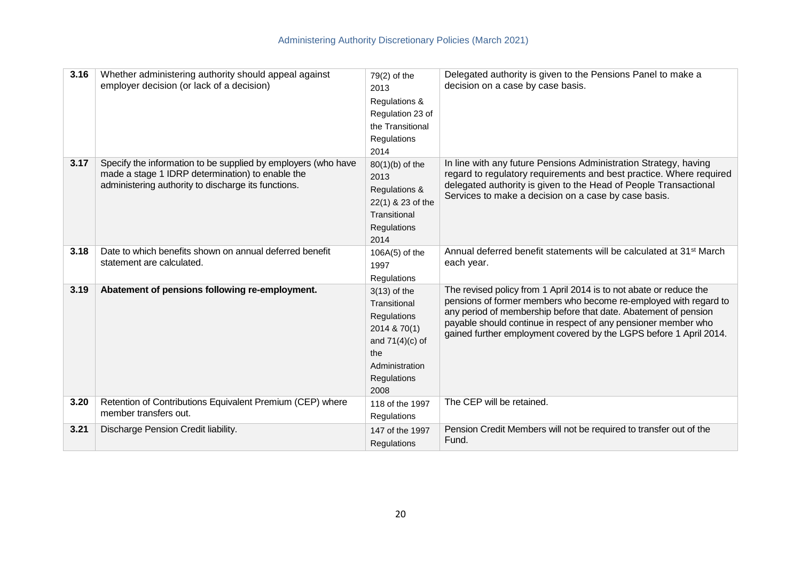| 3.16 | Whether administering authority should appeal against<br>employer decision (or lack of a decision)                                                                       | 79(2) of the<br>2013<br>Regulations &<br>Regulation 23 of<br>the Transitional<br>Regulations<br>2014                               | Delegated authority is given to the Pensions Panel to make a<br>decision on a case by case basis.                                                                                                                                                                                                                                                 |
|------|--------------------------------------------------------------------------------------------------------------------------------------------------------------------------|------------------------------------------------------------------------------------------------------------------------------------|---------------------------------------------------------------------------------------------------------------------------------------------------------------------------------------------------------------------------------------------------------------------------------------------------------------------------------------------------|
| 3.17 | Specify the information to be supplied by employers (who have<br>made a stage 1 IDRP determination) to enable the<br>administering authority to discharge its functions. | $80(1)(b)$ of the<br>2013<br>Regulations &<br>22(1) & 23 of the<br>Transitional<br>Regulations<br>2014                             | In line with any future Pensions Administration Strategy, having<br>regard to regulatory requirements and best practice. Where required<br>delegated authority is given to the Head of People Transactional<br>Services to make a decision on a case by case basis.                                                                               |
| 3.18 | Date to which benefits shown on annual deferred benefit<br>statement are calculated.                                                                                     | $106A(5)$ of the<br>1997<br>Regulations                                                                                            | Annual deferred benefit statements will be calculated at 31 <sup>st</sup> March<br>each year.                                                                                                                                                                                                                                                     |
| 3.19 | Abatement of pensions following re-employment.                                                                                                                           | $3(13)$ of the<br>Transitional<br>Regulations<br>2014 & 70(1)<br>and $71(4)(c)$ of<br>the<br>Administration<br>Regulations<br>2008 | The revised policy from 1 April 2014 is to not abate or reduce the<br>pensions of former members who become re-employed with regard to<br>any period of membership before that date. Abatement of pension<br>payable should continue in respect of any pensioner member who<br>gained further employment covered by the LGPS before 1 April 2014. |
| 3.20 | Retention of Contributions Equivalent Premium (CEP) where<br>member transfers out.                                                                                       | 118 of the 1997<br>Regulations                                                                                                     | The CEP will be retained.                                                                                                                                                                                                                                                                                                                         |
| 3.21 | Discharge Pension Credit liability.                                                                                                                                      | 147 of the 1997<br>Regulations                                                                                                     | Pension Credit Members will not be required to transfer out of the<br>Fund.                                                                                                                                                                                                                                                                       |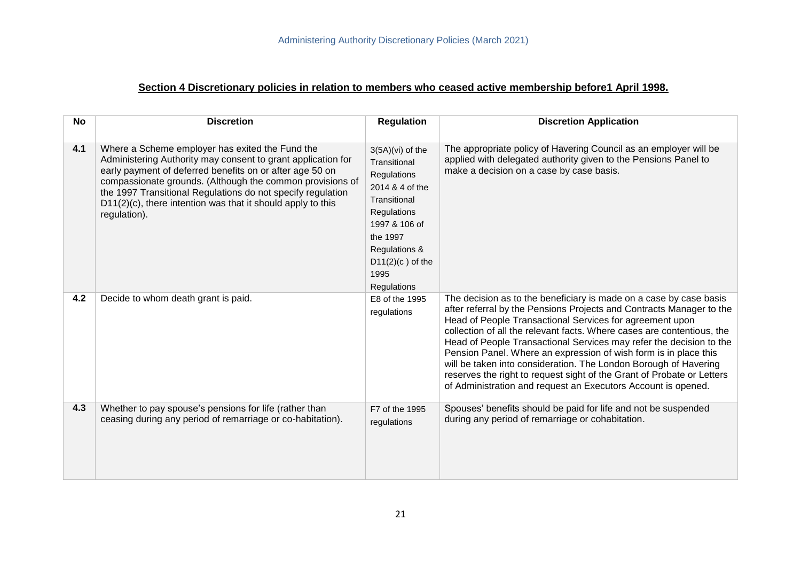# **Section 4 Discretionary policies in relation to members who ceased active membership before1 April 1998.**

| <b>No</b> | <b>Discretion</b>                                                                                                                                                                                                                                                                                                                                                                         | <b>Regulation</b>                                                                                                                                                                              | <b>Discretion Application</b>                                                                                                                                                                                                                                                                                                                                                                                                                                                                                                                                                                                                              |
|-----------|-------------------------------------------------------------------------------------------------------------------------------------------------------------------------------------------------------------------------------------------------------------------------------------------------------------------------------------------------------------------------------------------|------------------------------------------------------------------------------------------------------------------------------------------------------------------------------------------------|--------------------------------------------------------------------------------------------------------------------------------------------------------------------------------------------------------------------------------------------------------------------------------------------------------------------------------------------------------------------------------------------------------------------------------------------------------------------------------------------------------------------------------------------------------------------------------------------------------------------------------------------|
| 4.1       | Where a Scheme employer has exited the Fund the<br>Administering Authority may consent to grant application for<br>early payment of deferred benefits on or after age 50 on<br>compassionate grounds. (Although the common provisions of<br>the 1997 Transitional Regulations do not specify regulation<br>$D11(2)(c)$ , there intention was that it should apply to this<br>regulation). | $3(5A)(vi)$ of the<br>Transitional<br>Regulations<br>2014 & 4 of the<br>Transitional<br>Regulations<br>1997 & 106 of<br>the 1997<br>Regulations &<br>$D11(2)(c)$ of the<br>1995<br>Regulations | The appropriate policy of Havering Council as an employer will be<br>applied with delegated authority given to the Pensions Panel to<br>make a decision on a case by case basis.                                                                                                                                                                                                                                                                                                                                                                                                                                                           |
| 4.2       | Decide to whom death grant is paid.                                                                                                                                                                                                                                                                                                                                                       | E8 of the 1995<br>regulations                                                                                                                                                                  | The decision as to the beneficiary is made on a case by case basis<br>after referral by the Pensions Projects and Contracts Manager to the<br>Head of People Transactional Services for agreement upon<br>collection of all the relevant facts. Where cases are contentious, the<br>Head of People Transactional Services may refer the decision to the<br>Pension Panel. Where an expression of wish form is in place this<br>will be taken into consideration. The London Borough of Havering<br>reserves the right to request sight of the Grant of Probate or Letters<br>of Administration and request an Executors Account is opened. |
| 4.3       | Whether to pay spouse's pensions for life (rather than<br>ceasing during any period of remarriage or co-habitation).                                                                                                                                                                                                                                                                      | F7 of the 1995<br>regulations                                                                                                                                                                  | Spouses' benefits should be paid for life and not be suspended<br>during any period of remarriage or cohabitation.                                                                                                                                                                                                                                                                                                                                                                                                                                                                                                                         |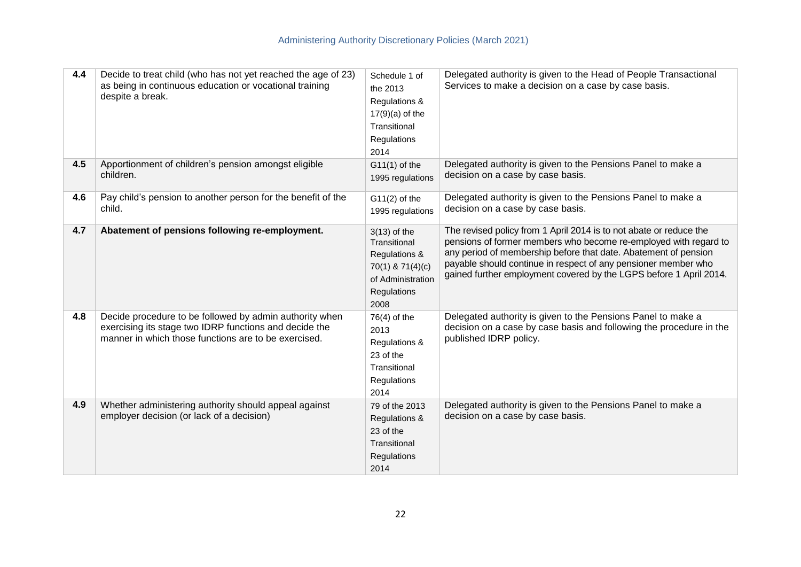| 4.4 | Decide to treat child (who has not yet reached the age of 23)<br>as being in continuous education or vocational training<br>despite a break.                              | Schedule 1 of<br>the 2013<br>Regulations &<br>$17(9)(a)$ of the<br>Transitional<br>Regulations<br>2014          | Delegated authority is given to the Head of People Transactional<br>Services to make a decision on a case by case basis.                                                                                                                                                                                                                          |
|-----|---------------------------------------------------------------------------------------------------------------------------------------------------------------------------|-----------------------------------------------------------------------------------------------------------------|---------------------------------------------------------------------------------------------------------------------------------------------------------------------------------------------------------------------------------------------------------------------------------------------------------------------------------------------------|
| 4.5 | Apportionment of children's pension amongst eligible<br>children.                                                                                                         | $G11(1)$ of the<br>1995 regulations                                                                             | Delegated authority is given to the Pensions Panel to make a<br>decision on a case by case basis.                                                                                                                                                                                                                                                 |
| 4.6 | Pay child's pension to another person for the benefit of the<br>child.                                                                                                    | $G11(2)$ of the<br>1995 regulations                                                                             | Delegated authority is given to the Pensions Panel to make a<br>decision on a case by case basis.                                                                                                                                                                                                                                                 |
| 4.7 | Abatement of pensions following re-employment.                                                                                                                            | $3(13)$ of the<br>Transitional<br>Regulations &<br>70(1) & 71(4)(c)<br>of Administration<br>Regulations<br>2008 | The revised policy from 1 April 2014 is to not abate or reduce the<br>pensions of former members who become re-employed with regard to<br>any period of membership before that date. Abatement of pension<br>payable should continue in respect of any pensioner member who<br>gained further employment covered by the LGPS before 1 April 2014. |
| 4.8 | Decide procedure to be followed by admin authority when<br>exercising its stage two IDRP functions and decide the<br>manner in which those functions are to be exercised. | $76(4)$ of the<br>2013<br>Regulations &<br>23 of the<br>Transitional<br>Regulations<br>2014                     | Delegated authority is given to the Pensions Panel to make a<br>decision on a case by case basis and following the procedure in the<br>published IDRP policy.                                                                                                                                                                                     |
| 4.9 | Whether administering authority should appeal against<br>employer decision (or lack of a decision)                                                                        | 79 of the 2013<br>Regulations &<br>23 of the<br>Transitional<br>Regulations<br>2014                             | Delegated authority is given to the Pensions Panel to make a<br>decision on a case by case basis.                                                                                                                                                                                                                                                 |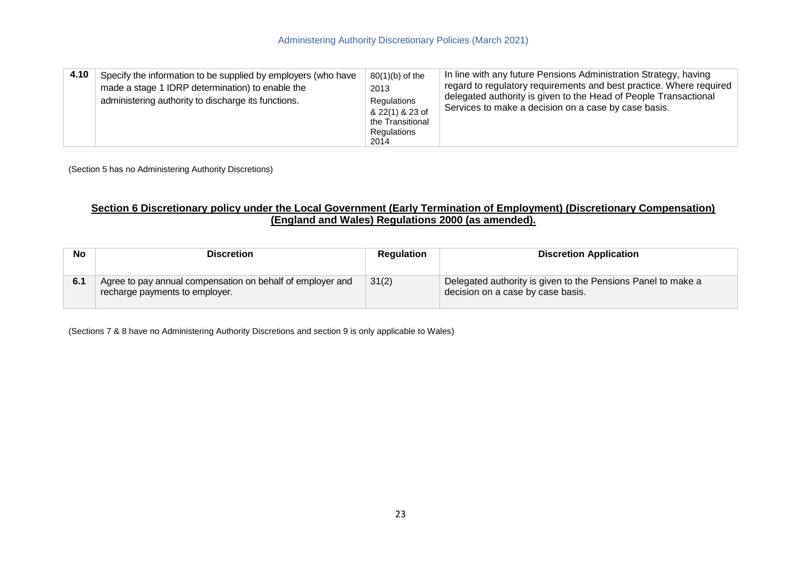| 4.10 | Specify the information to be supplied by employers (who have<br>made a stage 1 IDRP determination) to enable the<br>administering authority to discharge its functions. | $80(1)(b)$ of the<br>2013<br>Regulations<br>& 22(1) & 23 of<br>the Transitional<br>Regulations<br>2014 | In line with any future Pensions Administration Strategy, having<br>regard to regulatory requirements and best practice. Where required<br>delegated authority is given to the Head of People Transactional<br>Services to make a decision on a case by case basis. |
|------|--------------------------------------------------------------------------------------------------------------------------------------------------------------------------|--------------------------------------------------------------------------------------------------------|---------------------------------------------------------------------------------------------------------------------------------------------------------------------------------------------------------------------------------------------------------------------|
|------|--------------------------------------------------------------------------------------------------------------------------------------------------------------------------|--------------------------------------------------------------------------------------------------------|---------------------------------------------------------------------------------------------------------------------------------------------------------------------------------------------------------------------------------------------------------------------|

(Section 5 has no Administering Authority Discretions)

#### **Section 6 Discretionary policy under the Local Government (Early Termination of Employment) (Discretionary Compensation) (England and Wales) Regulations 2000 (as amended).**

| <b>No</b> | <b>Discretion</b>                                                                            | Regulation | <b>Discretion Application</b>                                                                     |
|-----------|----------------------------------------------------------------------------------------------|------------|---------------------------------------------------------------------------------------------------|
| 6.1       | Agree to pay annual compensation on behalf of employer and<br>recharge payments to employer. | 31(2)      | Delegated authority is given to the Pensions Panel to make a<br>decision on a case by case basis. |

(Sections 7 & 8 have no Administering Authority Discretions and section 9 is only applicable to Wales)